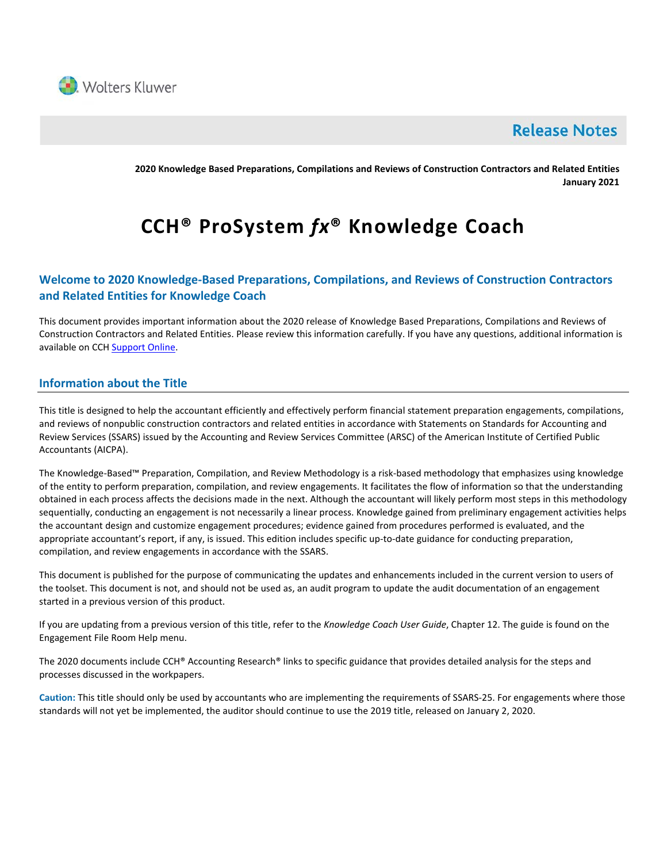

# **Release Notes**

**2020 Knowledge Based Preparations, Compilations and Reviews of Construction Contractors and Related Entities January 2021**

# **CCH® ProSystem** *fx***® Knowledge Coach**

# **Welcome to 2020 Knowledge-Based Preparations, Compilations, and Reviews of Construction Contractors and Related Entities for Knowledge Coach**

This document provides important information about the 2020 release of Knowledge Based Preparations, Compilations and Reviews of Construction Contractors and Related Entities. Please review this information carefully. If you have any questions, additional information is available on CC[H Support Online.](http://support.cch.com/productsupport/)

# **Information about the Title**

This title is designed to help the accountant efficiently and effectively perform financial statement preparation engagements, compilations, and reviews of nonpublic construction contractors and related entities in accordance with Statements on Standards for Accounting and Review Services (SSARS) issued by the Accounting and Review Services Committee (ARSC) of the American Institute of Certified Public Accountants (AICPA).

The Knowledge-Based™ Preparation, Compilation, and Review Methodology is a risk-based methodology that emphasizes using knowledge of the entity to perform preparation, compilation, and review engagements. It facilitates the flow of information so that the understanding obtained in each process affects the decisions made in the next. Although the accountant will likely perform most steps in this methodology sequentially, conducting an engagement is not necessarily a linear process. Knowledge gained from preliminary engagement activities helps the accountant design and customize engagement procedures; evidence gained from procedures performed is evaluated, and the appropriate accountant's report, if any, is issued. This edition includes specific up-to-date guidance for conducting preparation, compilation, and review engagements in accordance with the SSARS.

This document is published for the purpose of communicating the updates and enhancements included in the current version to users of the toolset. This document is not, and should not be used as, an audit program to update the audit documentation of an engagement started in a previous version of this product.

If you are updating from a previous version of this title, refer to the *Knowledge Coach User Guide*, Chapter 12. The guide is found on the Engagement File Room Help menu.

The 2020 documents include CCH® Accounting Research® links to specific guidance that provides detailed analysis for the steps and processes discussed in the workpapers.

**Caution:** This title should only be used by accountants who are implementing the requirements of SSARS-25. For engagements where those standards will not yet be implemented, the auditor should continue to use the 2019 title, released on January 2, 2020.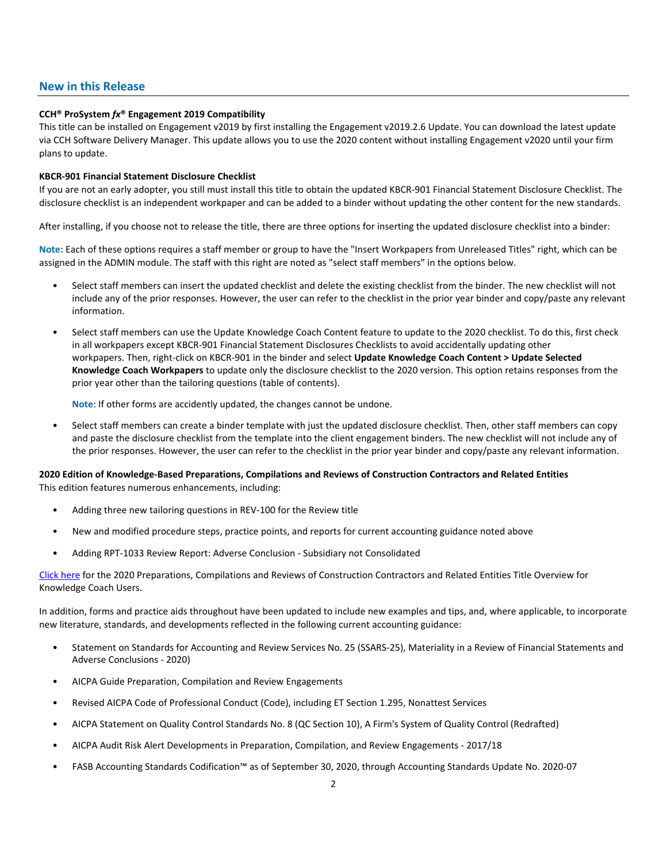## **New in this Release**

#### **CCH® ProSystem** *fx***® Engagement 2019 Compatibility**

This title can be installed on Engagement v2019 by first installing the Engagement v2019.2.6 Update. You can download the latest update via CCH Software Delivery Manager. This update allows you to use the 2020 content without installing Engagement v2020 until your firm plans to update.

#### **KBCR-901 Financial Statement Disclosure Checklist**

If you are not an early adopter, you still must install this title to obtain the updated KBCR-901 Financial Statement Disclosure Checklist. The disclosure checklist is an independent workpaper and can be added to a binder without updating the other content for the new standards.

After installing, if you choose not to release the title, there are three options for inserting the updated disclosure checklist into a binder:

**Note:** Each of these options requires a staff member or group to have the "Insert Workpapers from Unreleased Titles" right, which can be assigned in the ADMIN module. The staff with this right are noted as "select staff members" in the options below.

- Select staff members can insert the updated checklist and delete the existing checklist from the binder. The new checklist will not include any of the prior responses. However, the user can refer to the checklist in the prior year binder and copy/paste any relevant information.
- Select staff members can use the Update Knowledge Coach Content feature to update to the 2020 checklist. To do this, first check in all workpapers except KBCR-901 Financial Statement Disclosures Checklists to avoid accidentally updating other workpapers. Then, right-click on KBCR-901 in the binder and select **Update Knowledge Coach Content > Update Selected Knowledge Coach Workpapers** to update only the disclosure checklist to the 2020 version. This option retains responses from the prior year other than the tailoring questions (table of contents).

**Note**: If other forms are accidently updated, the changes cannot be undone.

• Select staff members can create a binder template with just the updated disclosure checklist. Then, other staff members can copy and paste the disclosure checklist from the template into the client engagement binders. The new checklist will not include any of the prior responses. However, the user can refer to the checklist in the prior year binder and copy/paste any relevant information.

#### **2020 Edition of Knowledge-Based Preparations, Compilations and Reviews of Construction Contractors and Related Entities** This edition features numerous enhancements, including:

- Adding three new tailoring questions in REV-100 for the Review title
- New and modified procedure steps, practice points, and reports for current accounting guidance noted above
- Adding RPT-1033 Review Report: Adverse Conclusion Subsidiary not Consolidated

[Click here](http://support.cch.com/updates/KnowledgeCoach/pdf/guides_tab/2020%20Construction%20Entities%20PCR%20Title%20Overview%20for%20Knowledge%20Coach%20Users.pdf) for the 2020 Preparations, Compilations and Reviews of Construction Contractors and Related Entities Title Overview for Knowledge Coach Users.

In addition, forms and practice aids throughout have been updated to include new examples and tips, and, where applicable, to incorporate new literature, standards, and developments reflected in the following current accounting guidance:

- Statement on Standards for Accounting and Review Services No. 25 (SSARS-25), Materiality in a Review of Financial Statements and Adverse Conclusions - 2020)
- AICPA Guide Preparation, Compilation and Review Engagements
- Revised AICPA Code of Professional Conduct (Code), including ET Section 1.295, Nonattest Services
- AICPA Statement on Quality Control Standards No. 8 (QC Section 10), A Firm's System of Quality Control (Redrafted)
- AICPA Audit Risk Alert Developments in Preparation, Compilation, and Review Engagements 2017/18
- FASB Accounting Standards Codification™ as of September 30, 2020, through Accounting Standards Update No. 2020-07